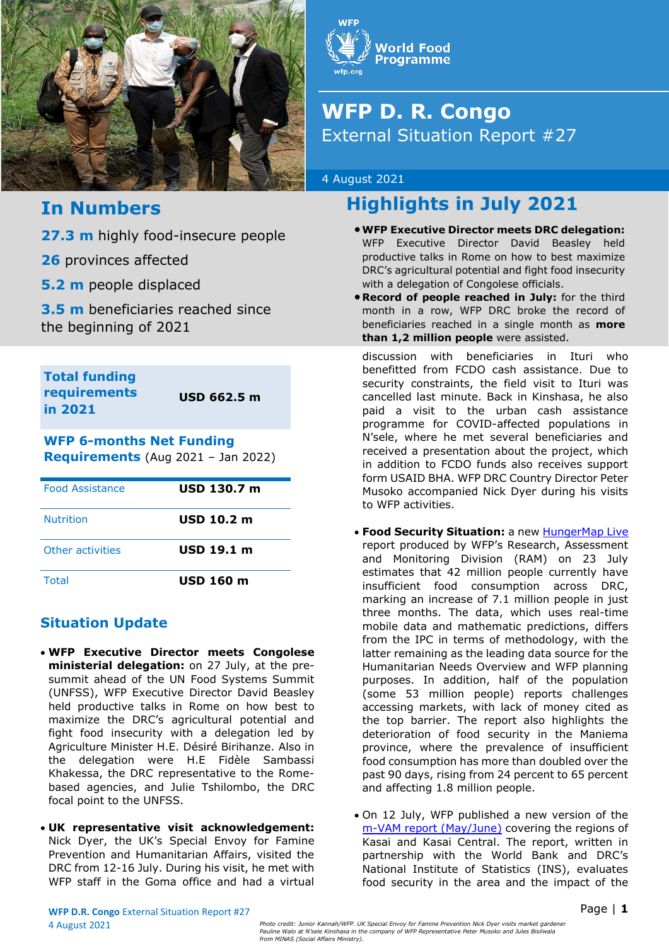

# **In Numbers**

**27.3 m** highly food-insecure people

**26** provinces affected

**5.2 m** people displaced

**3.5 m** beneficiaries reached since the beginning of 2021

**Total funding requirements in 2021**

**USD 662.5 m**

# **WFP 6-months Net Funding**

**Requirements** (Aug 2021 – Jan 2022)

| <b>Food Assistance</b> | USD 130.7 m      |
|------------------------|------------------|
| <b>Nutrition</b>       | $USD$ 10.2 m     |
| Other activities       | USD 19.1 m       |
| Total                  | <b>USD 160 m</b> |

## **Situation Update**

- **WFP Executive Director meets Congolese ministerial delegation:** on 27 July, at the presummit ahead of the UN Food Systems Summit (UNFSS), WFP Executive Director David Beasley held productive talks in Rome on how best to maximize the DRC's agricultural potential and fight food insecurity with a delegation led by Agriculture Minister H.E. Désiré Birihanze. Also in the delegation were H.E Fidèle Sambassi Khakessa, the DRC representative to the Romebased agencies, and Julie Tshilombo, the DRC focal point to the UNFSS.
- **UK representative visit acknowledgement:** Nick Dyer, the UK's Special Envoy for Famine Prevention and Humanitarian Affairs, visited the DRC from 12-16 July. During his visit, he met with WFP staff in the Goma office and had a virtual



# **WFP D. R. Congo** External Situation Report #27

#### 4 August 2021

# **Highlights in July 2021**

- •**WFP Executive Director meets DRC delegation:**  WFP Executive Director David Beasley held productive talks in Rome on how to best maximize DRC's agricultural potential and fight food insecurity with a delegation of Congolese officials.
- **Record of people reached in July:** for the third month in a row, WFP DRC broke the record of beneficiaries reached in a single month as **more than 1,2 million people** were assisted.

discussion with beneficiaries in Ituri who benefitted from FCDO cash assistance. Due to security constraints, the field visit to Ituri was cancelled last minute. Back in Kinshasa, he also paid a visit to the urban cash assistance programme for COVID-affected populations in N'sele, where he met several beneficiaries and received a presentation about the project, which in addition to FCDO funds also receives support form USAID BHA. WFP DRC Country Director Peter Musoko accompanied Nick Dyer during his visits to WFP activities.

- **Food Security Situation:** a new [HungerMap Live](https://hungermap.wfp.org/) report produced by WFP's Research, Assessment and Monitoring Division (RAM) on 23 July estimates that 42 million people currently have insufficient food consumption across DRC, marking an increase of 7.1 million people in just three months. The data, which uses real-time mobile data and mathematic predictions, differs from the IPC in terms of methodology, with the latter remaining as the leading data source for the Humanitarian Needs Overview and WFP planning purposes. In addition, half of the population (some 53 million people) reports challenges accessing markets, with lack of money cited as the top barrier. The report also highlights the deterioration of food security in the Maniema province, where the prevalence of insufficient food consumption has more than doubled over the past 90 days, rising from 24 percent to 65 percent and affecting 1.8 million people.
- On 12 July, WFP published a new version of the [m-VAM report \(May/June\)](https://dataviz.vam.wfp.org/reports_explorer) covering the regions of Kasai and Kasai Central. The report, written in partnership with the World Bank and DRC's National Institute of Statistics (INS), evaluates food security in the area and the impact of the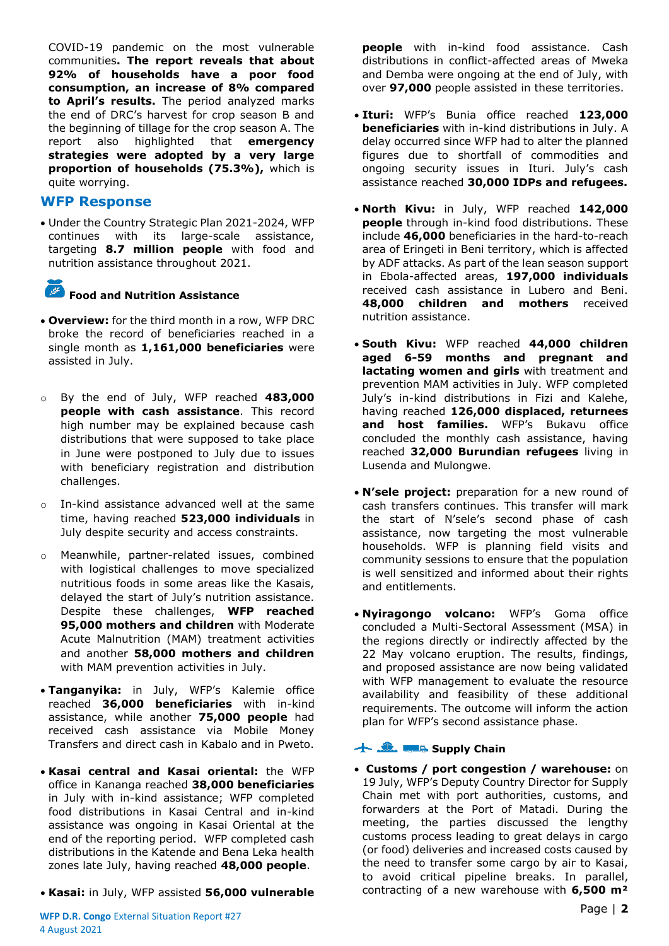COVID-19 pandemic on the most vulnerable communities**. The report reveals that about 92% of households have a poor food consumption, an increase of 8% compared to April's results.** The period analyzed marks the end of DRC's harvest for crop season B and the beginning of tillage for the crop season A. The report also highlighted that **emergency strategies were adopted by a very large proportion of households (75.3%),** which is quite worrying.

### **WFP Response**

• Under the Country Strategic Plan 2021-2024, WFP continues with its large-scale assistance, targeting **8.7 million people** with food and nutrition assistance throughout 2021.

# **Food and Nutrition Assistance**

- **Overview:** for the third month in a row, WFP DRC broke the record of beneficiaries reached in a single month as **1,161,000 beneficiaries** were assisted in July.
- o By the end of July, WFP reached **483,000 people with cash assistance**. This record high number may be explained because cash distributions that were supposed to take place in June were postponed to July due to issues with beneficiary registration and distribution challenges.
- o In-kind assistance advanced well at the same time, having reached **523,000 individuals** in July despite security and access constraints.
- o Meanwhile, partner-related issues, combined with logistical challenges to move specialized nutritious foods in some areas like the Kasais, delayed the start of July's nutrition assistance. Despite these challenges, **WFP reached 95,000 mothers and children** with Moderate Acute Malnutrition (MAM) treatment activities and another **58,000 mothers and children**  with MAM prevention activities in July.
- **Tanganyika:** in July, WFP's Kalemie office reached **36,000 beneficiaries** with in-kind assistance, while another **75,000 people** had received cash assistance via Mobile Money Transfers and direct cash in Kabalo and in Pweto.
- **Kasai central and Kasai oriental:** the WFP office in Kananga reached **38,000 beneficiaries** in July with in-kind assistance; WFP completed food distributions in Kasai Central and in-kind assistance was ongoing in Kasai Oriental at the end of the reporting period. WFP completed cash distributions in the Katende and Bena Leka health zones late July, having reached **48,000 people**.
- **Kasai:** in July, WFP assisted **56,000 vulnerable**

**people** with in-kind food assistance. Cash distributions in conflict-affected areas of Mweka and Demba were ongoing at the end of July, with over **97,000** people assisted in these territories.

- **Ituri:** WFP's Bunia office reached **123,000 beneficiaries** with in-kind distributions in July. A delay occurred since WFP had to alter the planned figures due to shortfall of commodities and ongoing security issues in Ituri. July's cash assistance reached **30,000 IDPs and refugees.**
- **North Kivu:** in July, WFP reached **142,000 people** through in-kind food distributions. These include **46,000** beneficiaries in the hard-to-reach area of Eringeti in Beni territory, which is affected by ADF attacks. As part of the lean season support in Ebola-affected areas, **197,000 individuals**  received cash assistance in Lubero and Beni. **48,000 children and mothers** received nutrition assistance.
- **South Kivu:** WFP reached **44,000 children aged 6-59 months and pregnant and lactating women and girls** with treatment and prevention MAM activities in July. WFP completed July's in-kind distributions in Fizi and Kalehe, having reached **126,000 displaced, returnees and host families.** WFP's Bukavu office concluded the monthly cash assistance, having reached **32,000 Burundian refugees** living in Lusenda and Mulongwe.
- **N'sele project:** preparation for a new round of cash transfers continues. This transfer will mark the start of N'sele's second phase of cash assistance, now targeting the most vulnerable households. WFP is planning field visits and community sessions to ensure that the population is well sensitized and informed about their rights and entitlements.
- **Nyiragongo volcano:** WFP's Goma office concluded a Multi-Sectoral Assessment (MSA) in the regions directly or indirectly affected by the 22 May volcano eruption. The results, findings, and proposed assistance are now being validated with WFP management to evaluate the resource availability and feasibility of these additional requirements. The outcome will inform the action plan for WFP's second assistance phase.

#### **Supply Chain**

• **Customs / port congestion / warehouse:** on 19 July, WFP's Deputy Country Director for Supply Chain met with port authorities, customs, and forwarders at the Port of Matadi. During the meeting, the parties discussed the lengthy customs process leading to great delays in cargo (or food) deliveries and increased costs caused by the need to transfer some cargo by air to Kasai, to avoid critical pipeline breaks. In parallel, contracting of a new warehouse with **6,500 m²**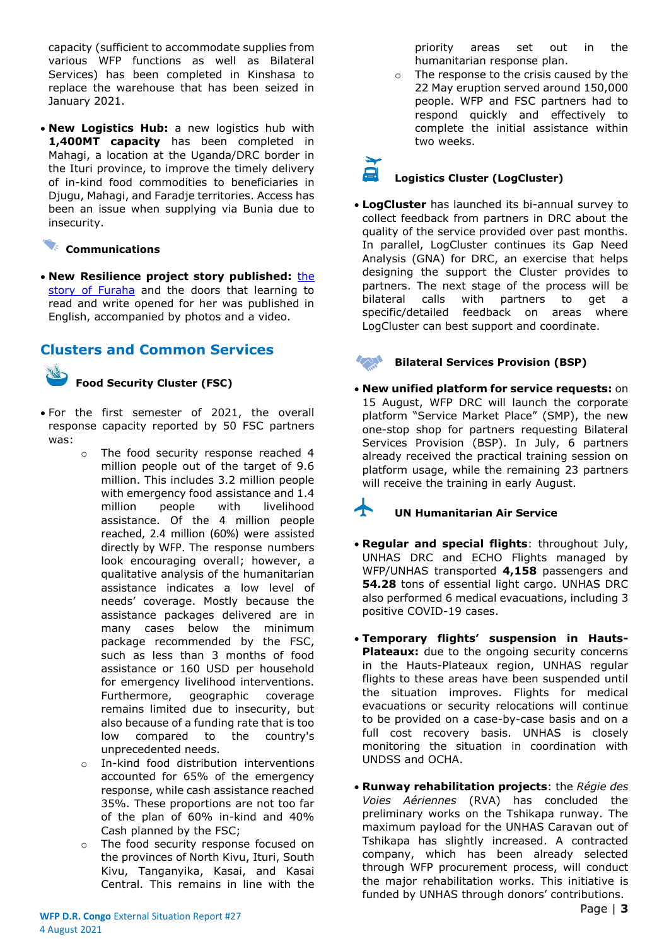capacity (sufficient to accommodate supplies from various WFP functions as well as Bilateral Services) has been completed in Kinshasa to replace the warehouse that has been seized in January 2021.

• **New Logistics Hub:** a new logistics hub with **1,400MT capacity** has been completed in Mahagi, a location at the Uganda/DRC border in the Ituri province, to improve the timely delivery of in-kind food commodities to beneficiaries in Djugu, Mahagi, and Faradje territories. Access has been an issue when supplying via Bunia due to insecurity.

#### **Communications**

• New Resilience project story published: the [story of Furaha](https://www.wfp.org/stories/dr-congo-development-literacy-hunger-food-security-un-wfp) and the doors that learning to read and write opened for her was published in English, accompanied by photos and a video.

## **Clusters and Common Services**

#### **Food Security Cluster (FSC)**

- For the first semester of 2021, the overall response capacity reported by 50 FSC partners was:
	- o The food security response reached 4 million people out of the target of 9.6 million. This includes 3.2 million people with emergency food assistance and 1.4 million people with livelihood assistance. Of the 4 million people reached, 2.4 million (60%) were assisted directly by WFP. The response numbers look encouraging overall; however, a qualitative analysis of the humanitarian assistance indicates a low level of needs' coverage. Mostly because the assistance packages delivered are in many cases below the minimum package recommended by the FSC, such as less than 3 months of food assistance or 160 USD per household for emergency livelihood interventions. Furthermore, geographic coverage remains limited due to insecurity, but also because of a funding rate that is too low compared to the country's unprecedented needs.
	- o In-kind food distribution interventions accounted for 65% of the emergency response, while cash assistance reached 35%. These proportions are not too far of the plan of 60% in-kind and 40% Cash planned by the FSC;
	- o The food security response focused on the provinces of North Kivu, Ituri, South Kivu, Tanganyika, Kasai, and Kasai Central. This remains in line with the

priority areas set out in the humanitarian response plan.

o The response to the crisis caused by the 22 May eruption served around 150,000 people. WFP and FSC partners had to respond quickly and effectively to complete the initial assistance within two weeks.

# **Logistics Cluster (LogCluster)**

• **LogCluster** has launched its bi-annual survey to collect feedback from partners in DRC about the quality of the service provided over past months. In parallel, LogCluster continues its Gap Need Analysis (GNA) for DRC, an exercise that helps designing the support the Cluster provides to partners. The next stage of the process will be bilateral calls with partners to get a specific/detailed feedback on areas where LogCluster can best support and coordinate.

#### **Bilateral Services Provision (BSP)**

• **New unified platform for service requests:** on 15 August, WFP DRC will launch the corporate platform "Service Market Place" (SMP), the new one-stop shop for partners requesting Bilateral Services Provision (BSP). In July, 6 partners already received the practical training session on platform usage, while the remaining 23 partners will receive the training in early August.

# **UN Humanitarian Air Service**

- **Regular and special flights**: throughout July, UNHAS DRC and ECHO Flights managed by WFP/UNHAS transported **4,158** passengers and **54.28** tons of essential light cargo. UNHAS DRC also performed 6 medical evacuations, including 3 positive COVID-19 cases.
- **Temporary flights' suspension in Hauts-Plateaux:** due to the ongoing security concerns in the Hauts-Plateaux region, UNHAS regular flights to these areas have been suspended until the situation improves. Flights for medical evacuations or security relocations will continue to be provided on a case-by-case basis and on a full cost recovery basis. UNHAS is closely monitoring the situation in coordination with UNDSS and OCHA.
- **Runway rehabilitation projects**: the *Régie des Voies Aériennes* (RVA) has concluded the preliminary works on the Tshikapa runway. The maximum payload for the UNHAS Caravan out of Tshikapa has slightly increased. A contracted company, which has been already selected through WFP procurement process, will conduct the major rehabilitation works. This initiative is funded by UNHAS through donors' contributions.